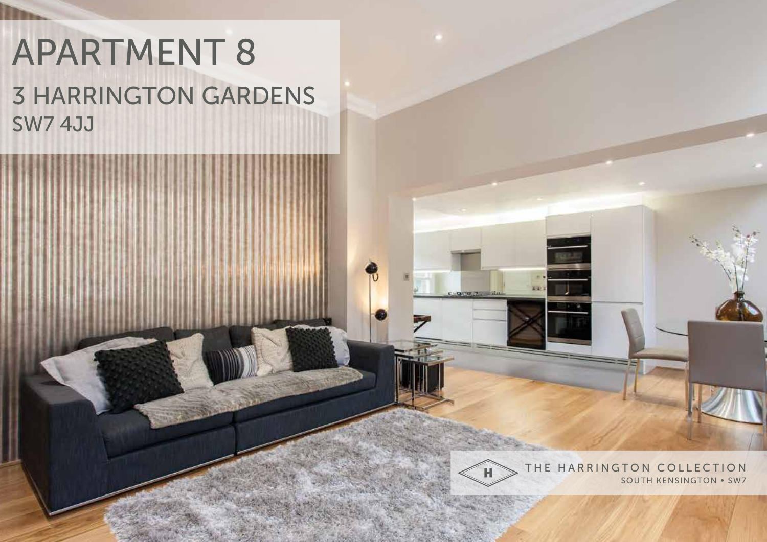## APARTMENT 8 3 HARRINGTON GARDENS SW7 4JJ



**ASP** 

CLOUSE RA

THE HARRINGTON COLLECTION SOUTH KENSINGTON • SW7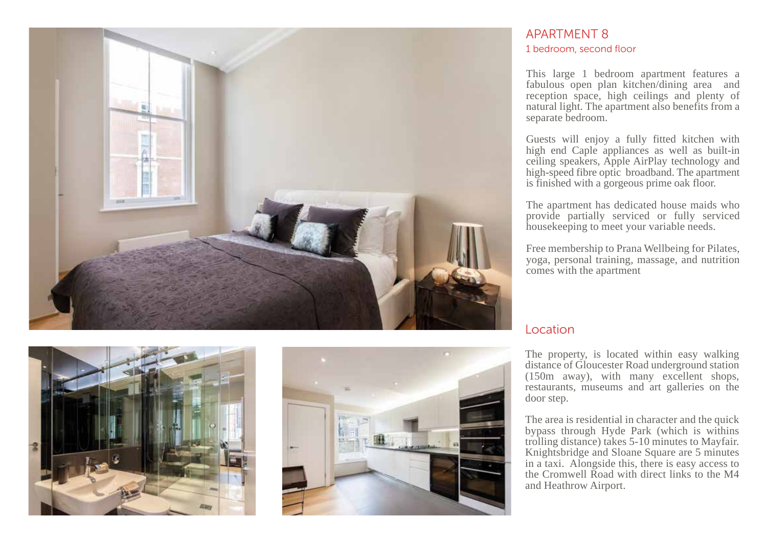





## APARTMENT 8 1 bedroom, second floor

This large 1 bedroom apartment features a fabulous open plan kitchen/dining area and reception space, high ceilings and plenty of natural light. The apartment also benefits from a separate bedroom.

Guests will enjoy a fully fitted kitchen with high end Caple appliances as well as built-in ceiling speakers, Apple AirPlay technology and high-speed fibre optic broadband. The apartment is finished with a gorgeous prime oak floor.

The apartment has dedicated house maids who provide partially serviced or fully serviced housekeeping to meet your variable needs.

Free membership to Prana Wellbeing for Pilates, yoga, personal training, massage, and nutrition comes with the apartment

## Location

The property, is located within easy walking distance of Gloucester Road underground station (150m away), with many excellent shops, restaurants, museums and art galleries on the door step.

The area is residential in character and the quick bypass through Hyde Park (which is withins trolling distance) takes 5-10 minutes to Mayfair. Knightsbridge and Sloane Square are 5 minutes in a taxi. Alongside this, there is easy access to the Cromwell Road with direct links to the M4 and Heathrow Airport.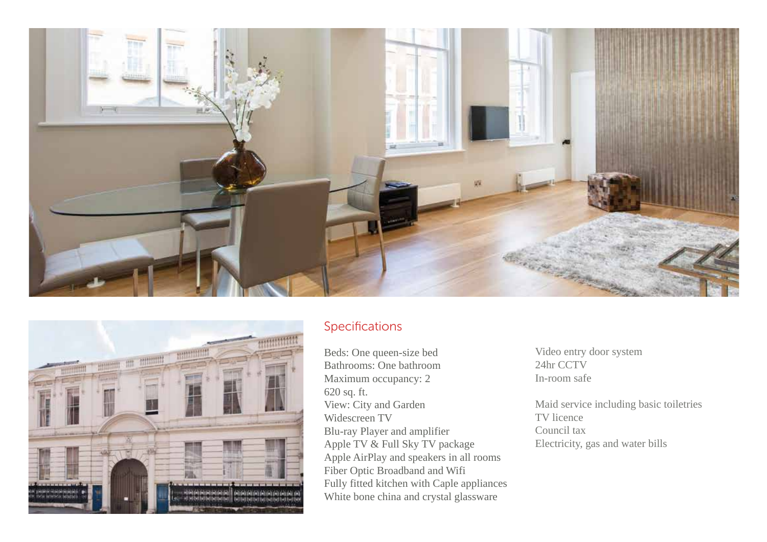



## Specifications

Beds: One queen-size bed Bathrooms: One bathroom Maximum occupancy: 2 620 sq. ft. View: City and Garden Widescreen TV Blu-ray Player and amplifier Apple TV & Full Sky TV package Apple AirPlay and speakers in all rooms Fiber Optic Broadband and Wifi Fully fitted kitchen with Caple appliances White bone china and crystal glassware

Video entry door system 24hr CCTV In-room safe

Maid service including basic toiletries TV licence Council tax Electricity, gas and water bills